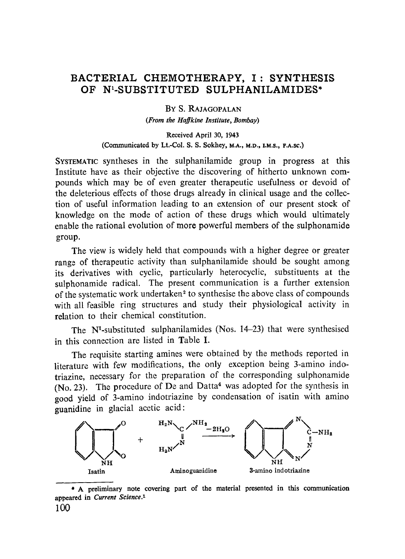# **BACTERIAL CHEMOTHERAPY, I: SYNTHESI\$ OF N1-SUBSTITUTED SULPHANILAMIDE\$\***

BY S. RAJAGOPALAN *(From the Haffkine lnstitute, Bombay)* 

Received April 30, 1943 (Communicated by Lt.-Col. S. S. Sokhey, M.A., M.D., I.M.S., F.A.sc.)

SYSTEMATIC syntheses in the sulphanilamide group in progress at this Institute have as their objective the discovering of hitherto unknown compounds which may be of even greater therapeutic usefulness or devoid of the deleterious effects of those drugs already in clinical usage and the collection of useful information leading to an extension of our present stock of knowledge on the mode of action of these drugs which would ultimately enable the rational evolution of more powerful members of the sulphonamide group.

The view is widely held that compounds with a higher degree or greater range of therapeutic activity than sulphanilamide should be sought among its derivatives with cyclic, particularly heterocyclic, substituents at the sulphonamide radical. The present communication is a further extension of the systematic work undertaken 2 to synthesise the above class of compounds with all feasible ring structures and study their physiological activity in relation to their chemical constitution.

The  $N<sup>1</sup>$ -substituted sulphanilamides (Nos. 14-23) that were synthesised in this connection are listed in Table I.

The requisite starting amines were obtained by the methods reported in literature with few modifications, the only exception being 3-amino indotriazine, necessary for the preparation of the corresponding sulphonamide  $(N<sub>0</sub>, 23)$ . The procedure of De and Datta<sup>4</sup> was adopted for the synthesis in good yield of 3-amino indotriazine by condensation of isatin with amino guanidine in glacial acetic acid:



<sup>\*</sup> A preliminary **note covering part of the material presented** in this **communication appeared in** *Current Science. 1*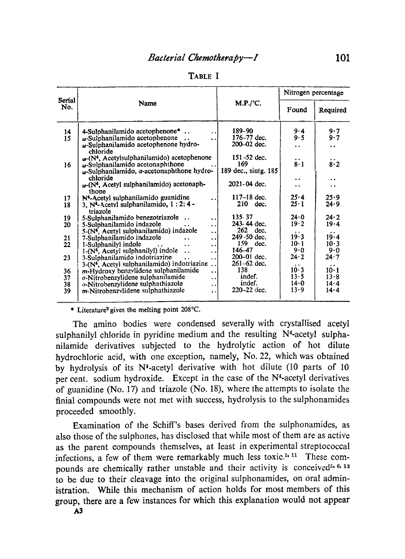| ABLE |  |
|------|--|
|      |  |

|               |                                                                                                   |                      | Nitrogen percentage                  |                                 |  |  |
|---------------|---------------------------------------------------------------------------------------------------|----------------------|--------------------------------------|---------------------------------|--|--|
| Serial<br>No. | Name                                                                                              | M.P./°C.             | Found                                | Required                        |  |  |
| 14            | 4-Sulphanilamido acetophenone <sup>*</sup>                                                        | 189-90               | $9 - 4$                              | 9.7                             |  |  |
| 15            | $\omega$ -Sulphanilamido acetophenone                                                             | 176-77 dec.          | 9.5                                  | 9.7                             |  |  |
|               | w-Sulphanilamido acetophenone hydro-                                                              | 200-02 dec.          | $\ddot{\phantom{a}}$                 | $\ddot{\phantom{0}}$            |  |  |
|               | chloride                                                                                          |                      |                                      |                                 |  |  |
|               | $\omega$ -(N <sup>4</sup> , Acetylsulphanilamido) acetophenone                                    | $151 - 52$ dec.      |                                      |                                 |  |  |
| 16            | $\omega$ -Sulphanilamido acetonaphthone                                                           | 169                  | $\ddot{\mathbf{8}} \cdot \mathbf{1}$ | $\ddot{8} \cdot 2$              |  |  |
|               | w-Sulphanilamido, a-acetonaphthone hydro-                                                         | 189 dec., sintg. 185 |                                      |                                 |  |  |
|               | chloride                                                                                          |                      | $\cdot$ .                            | . .                             |  |  |
|               | $\omega$ -(N <sup>4</sup> , Acetyl sulphanilamido) acetonaph-                                     | 2021-04 dec.         | . .                                  | . .                             |  |  |
|               | thone                                                                                             |                      |                                      |                                 |  |  |
| 17            | N <sup>4</sup> -Acetyl sulphanilamido guanidine                                                   | $117 - 18$ dec.      | 25.4                                 | 25.9<br>24.9                    |  |  |
|               | $25 - 1$<br>$210 \text{ dec.}$<br>3, N <sup>4</sup> -Acetyl sulphanilamido, 1:2:4 -<br>18         |                      |                                      |                                 |  |  |
| 19            | triazole<br>5-Sulphanilamido benezotriazole                                                       | 135 37               | 24.0                                 | 24.2                            |  |  |
| 20            | $\ddot{\phantom{0}}$<br>5-Sulphanilamido indazole                                                 | 243-44 dec.          | 19.2                                 | 19.4                            |  |  |
|               | . .<br>5-(N <sup>4</sup> , Acetyl sulphanilamido) indazole                                        | 262<br>dec.          |                                      |                                 |  |  |
| 21            | $\ddot{\phantom{0}}$<br>7-Sulphanilamido indazole<br>$\ddot{\phantom{a}}$<br>$\ddot{\phantom{a}}$ | 249 - 50 dec.        | 19.3                                 | . .<br>19.4                     |  |  |
| 22            | 1-Sulphanilyl indole<br>$\ddot{\phantom{a}}$<br>. .<br>$\ddot{\phantom{0}}$                       | 159.<br>dec.         | $10 \cdot 1$                         | 10.3                            |  |  |
|               | 1-(N <sup>4</sup> , Acetyl sulphanilyl) indole<br>$\ddot{\phantom{0}}$<br>$\ddot{\phantom{0}}$    | 146-47               | 9.0                                  | 9.0                             |  |  |
| 23            | 3-Sulphanilamido indotriazine<br>$\ddot{\phantom{a}}$<br>. .                                      | 200-01 dec.          | 24.2                                 | 24.7                            |  |  |
|               | 3-(N <sup>4</sup> , Acetyl sulphanilamido) indotriazine                                           | 261-62 dec.          | $\ddot{\phantom{0}}$                 |                                 |  |  |
| 36            | m-Hydroxy benzylidene sulphanilamide<br>$\ddot{\phantom{0}}$                                      | 138                  | $10-3$                               | $\cdot$ $\cdot$<br>$10 \cdot 1$ |  |  |
| 37            | $o$ -Nitrobenzylidene sulphanilamide<br>$\ddot{\phantom{0}}$                                      | indef.               | 13.5                                 | 13.8                            |  |  |
| 38            | o-Nitrobenzylidene sulphathiazole<br>$\cdot$                                                      | indef.               | 14.0                                 | 14.4                            |  |  |
| 39            | m-Nitrobenzvlidene sulphathiazole<br>$\mathbf{r}$                                                 | 220-22 dec.          | 13.9                                 | 14.4                            |  |  |

\* Literature<sup>3</sup> gives the melting point 208°C.

The amino bodies were condensed severally with crystallised acetyl sulphanilyl chloride in pyridine medium and the resulting N<sup>4</sup>-acetyl sulphanilamide derivatives subjected to the hydrolytic action of hot dilute hydrochloric acid, with one exception, namely, No. 22, which was obtained by hydrolysis of its N<sup>4</sup>-acetyl derivative with hot dilute (10 parts of 10 per cent. sodium hydroxide. Except in the case of the N<sup>4</sup>-acetyl derivatives of guanidine (No. 17) and triazole (No. 18), where the attempts to isolate the finial compounds were not met with success, hydrolysis to the sulphonamides proceeded smoothly.

Examination of the Schiff's bases derived from the sulphonamides, as also those of the sulphones, has disclosed that while most of them are as active as the parent compounds themselves, at least in experimental streptococcal infections, a few of them were remarkably much less toxic.<sup>5, 11</sup> These comnounds are chemically rather unstable and their activity is conceived<sup>5, 6, 12</sup> to be due to their cleavage into the original sulphonamides, on oral administration. While this mechanism of action holds for most members of this group, there are a few instances for which this explanation would not appear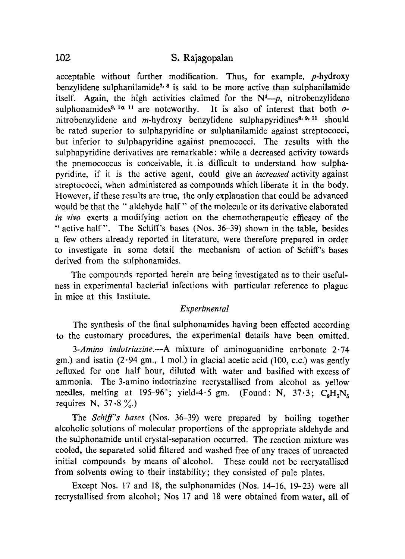## 1-02 **S. Rajagopalan**

acceptable without further modification. Thus, for example, p-hydroxy benzylidene sulphanilamide<sup> $7/8$ </sup> is said to be more active than sulphanilamide itself. Again, the high activities claimed for the  $N<sup>4</sup>$ -p, nitrobenzylidene sulphonamides<sup>9, 10, 11</sup> are noteworthy. It is also of interest that both  $o$ nitrobenzylidene and  $m$ -hydroxy benzylidene sulphapyridines<sup>8, 9, 11</sup> should be rated superior to sulphapyridine or sulphanilamide against streptococci, but inferior to sulphapyridine against pnemococci. The results with the sulphapyridine derivatives are remarkable: while a decreased activity towards the pnemococcus is conceivable, it is difficult to understand how sulphapyridine, if it is the active agent, could give an *increased* activity against streptococci, when administered as compounds which liberate it in the body. However, if these results are true, the only explanation that could be advanced would be that the " aldehyde half" of the molecule or its derivative elaborated *in vivo* exerts a modifying action on the chemotherapeutic efficacy of the " active half". The Schiff's bases (Nos. 36-39) shown in the table, besides a few others already reported in literature, were therefore prepared in order to investigate in some detail the mechanism of action of Schiff's bases derived from the sulphonamides.

The compounds reported herein are being investigated as to their usefulness in experimental bacterial infections with particular reference to plague in mice at this Institute.

### *Experimental*

The synthesis of the final sulphonamides having been effected according to the customary procedures, the experimental details have been omitted.

*3-Amino indotriazine.--A* mixture of aminoguanidine carbonate 2.74 gm.) and isatin  $(2.94 \text{ gm}, 1 \text{ mol})$  in glacial acetic acid  $(100, \text{ c.c.})$  was gently refluxed for one half hour, diluted with water and basified with excess of ammonia. The 3-amino indotriazine recrystallised from alcohol as yellow needles, melting at 195-96°; yield-4.5 gm. (Found: N,  $37.3$ ; C<sub>a</sub>H<sub>r</sub>N<sub>E</sub> requires N,  $37.8 \%$ .)

The *Sehiff's bases* (Nos. 36-39) were prepared by boiling together alcoholic solutions of molecular proportions of the appropriate aldehyde and the sulphonamide until crystal-separation occurred. The reaction mixture was cooled, the separated solid filtered and washed free of any traces of unreacted initial compounds by means of alcohol. These could not be recrystallised from solvents owing to their instability; they consisted of pale plates.

Except Nos. 17 and 18, the sulphonamides (Nos. 14-16, 19-23) were all recrystallised from alcohol; Nos 17 and 18 were obtained from water, all of